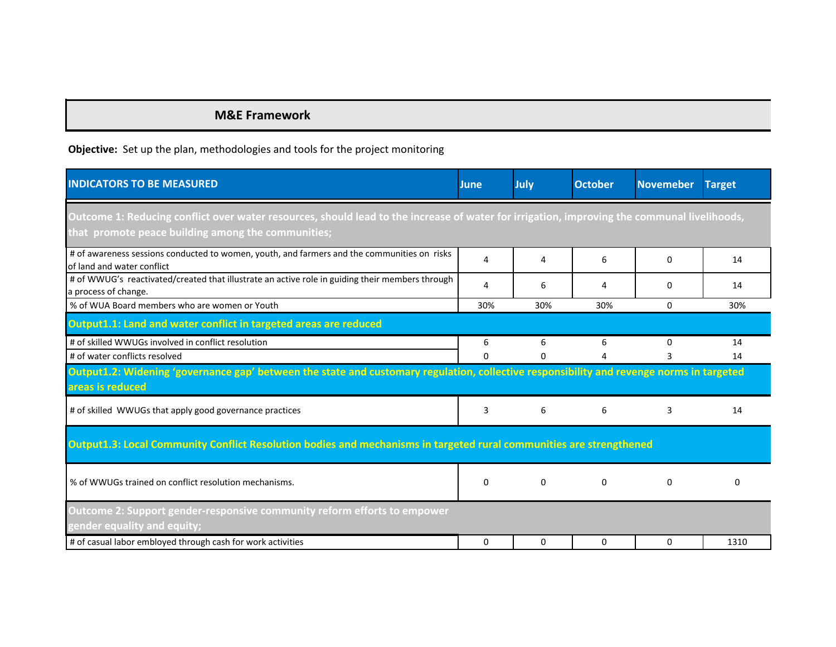## **M&E Framework**

## **Objective:** Set up the plan, methodologies and tools for the project monitoring

| <b>INDICATORS TO BE MEASURED</b>                                                                                                                                                                  | June     | July     | <b>October</b> | <b>Novemeber</b> | <b>Target</b> |  |  |  |  |
|---------------------------------------------------------------------------------------------------------------------------------------------------------------------------------------------------|----------|----------|----------------|------------------|---------------|--|--|--|--|
| Outcome 1: Reducing conflict over water resources, should lead to the increase of water for irrigation, improving the communal livelihoods,<br>that promote peace building among the communities; |          |          |                |                  |               |  |  |  |  |
| # of awareness sessions conducted to women, youth, and farmers and the communities on risks<br>of land and water conflict                                                                         | 4        | 4        | 6              | 0                | 14            |  |  |  |  |
| # of WWUG's reactivated/created that illustrate an active role in guiding their members through<br>a process of change.                                                                           | 4        | 6        | 4              | $\Omega$         | 14            |  |  |  |  |
| % of WUA Board members who are women or Youth                                                                                                                                                     | 30%      | 30%      | 30%            | $\Omega$         | 30%           |  |  |  |  |
| Output1.1: Land and water conflict in targeted areas are reduced                                                                                                                                  |          |          |                |                  |               |  |  |  |  |
| # of skilled WWUGs involved in conflict resolution                                                                                                                                                | 6        | 6        | 6              | $\Omega$         | 14            |  |  |  |  |
| # of water conflicts resolved                                                                                                                                                                     | 0        | 0        | 4              | 3                | 14            |  |  |  |  |
| Output1.2: Widening 'governance gap' between the state and customary regulation, collective responsibility and revenge norms in targeted<br>areas is reduced                                      |          |          |                |                  |               |  |  |  |  |
| # of skilled WWUGs that apply good governance practices                                                                                                                                           | 3        | 6        | 6              | 3                | 14            |  |  |  |  |
| Output1.3: Local Community Conflict Resolution bodies and mechanisms in targeted rural communities are strengthened                                                                               |          |          |                |                  |               |  |  |  |  |
| % of WWUGs trained on conflict resolution mechanisms.                                                                                                                                             | 0        | 0        | $\Omega$       | $\Omega$         | 0             |  |  |  |  |
| Outcome 2: Support gender-responsive community reform efforts to empower<br>gender equality and equity;                                                                                           |          |          |                |                  |               |  |  |  |  |
| # of casual labor embloyed through cash for work activities                                                                                                                                       | $\Omega$ | $\Omega$ | $\Omega$       | $\Omega$         | 1310          |  |  |  |  |